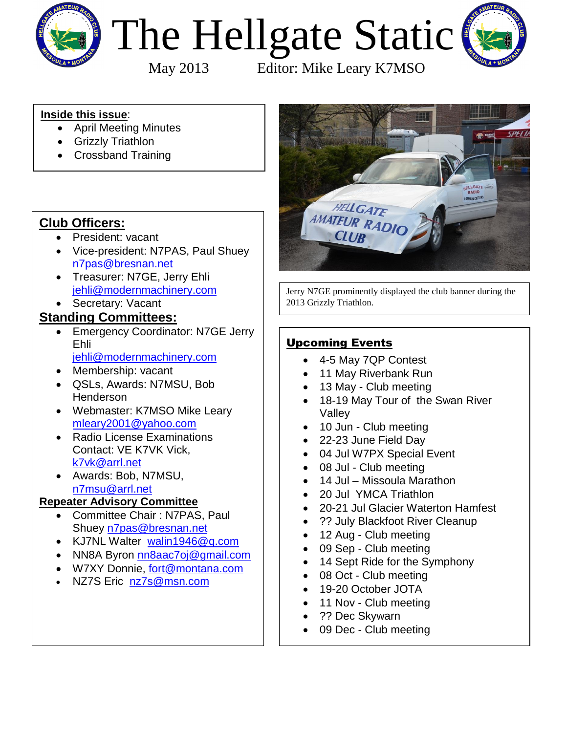

# The Hellgate Static



May 2013 Editor: Mike Leary K7MSO

### **Inside this issue**:

- April Meeting Minutes
- **•** Grizzly Triathlon
- Crossband Training

# **Club Officers:**

- President: vacant
- Vice-president: N7PAS, Paul Shuey [n7pas@bresnan.net](mailto:n7pas@bresnan.net?subject=Hellgate%20Amateur%20Radio%20Club%20Info)
- Treasurer: N7GE, Jerry Ehli [jehli@modernmachinery.com](mailto:jehli@modernmachinery.com?subject=Hellgate%20Amateur%20Radio%20Club%20Info)
- Secretary: Vacant

## **Standing Committees:**

- **Emergency Coordinator: N7GE Jerry** Ehli [jehli@modernmachinery.com](mailto:jehli@modernmachinery.com?subject=Hellgate%20Amateur%20Radio%20Club%20Info)
- Membership: vacant
- QSLs, Awards: N7MSU, Bob Henderson
- Webmaster: K7MSO Mike Leary [mleary2001@yahoo.com](mailto:mleary2001@yahoo.com?subject=Hellgate%20Amateur%20Radio%20Club%20Web%20Site%20Info)
- Radio License Examinations Contact: VE K7VK Vick, [k7vk@arrl.net](mailto:k7vk@arrl.net?subject=Hellgate%20Amateur%20Radio%20Club%20License%20Exams)
- Awards: Bob, N7MSU, [n7msu@arrl.net](mailto:n7msu@arrl.net)

## **Repeater Advisory Committee**

- Committee Chair : N7PAS, Paul Shuey [n7pas@bresnan.net](mailto:n7pas@bresnan.net?subject=Hellgate%20Amateur%20Radio%20Club%20Info)
- KJ7NL Walter [walin1946@q.com](mailto:walin1946@q.com)
- NN8A Byron [nn8aac7oj@gmail.com](mailto:nn8aac7oj@gmail.com?subject=Hellgate%20Amateur%20Radio%20Club%20Repeater%20Info)
- W7XY Donnie, [fort@montana.com](mailto:fort@montana.com)
- NZ7S Eric [nz7s@msn.com](mailto:nz7s@msn.com)



Jerry N7GE prominently displayed the club banner during the 2013 Grizzly Triathlon.

# Upcoming Events

- 4-5 May 7QP Contest
- 11 May Riverbank Run
- 13 May Club meeting
- 18-19 May Tour of the Swan River Valley
- 10 Jun Club meeting
- 22-23 June Field Day
- 04 Jul W7PX Special Event
- 08 Jul Club meeting
- 14 Jul Missoula Marathon
- 20 Jul YMCA Triathlon
- 20-21 Jul Glacier Waterton Hamfest
- ?? July Blackfoot River Cleanup
- 12 Aug Club meeting
- 09 Sep Club meeting
- 14 Sept Ride for the Symphony
- 08 Oct Club meeting
- 19-20 October JOTA
- 11 Nov Club meeting
- ?? Dec Skywarn
- 09 Dec Club meeting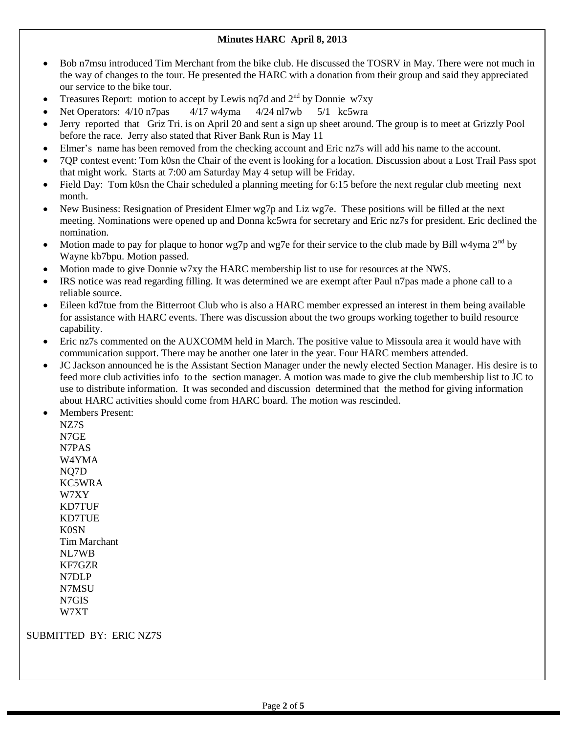#### **Minutes HARC April 8, 2013**

- Bob n7msu introduced Tim Merchant from the bike club. He discussed the TOSRV in May. There were not much in the way of changes to the tour. He presented the HARC with a donation from their group and said they appreciated our service to the bike tour.
- Treasures Report: motion to accept by Lewis nq7d and  $2<sup>nd</sup>$  by Donnie w7xy
- Net Operators:  $4/10$  n7pas  $4/17$  w4yma  $4/24$  nl7wb  $5/1$  kc5wra
- Jerry reported that Griz Tri. is on April 20 and sent a sign up sheet around. The group is to meet at Grizzly Pool before the race. Jerry also stated that River Bank Run is May 11
- Elmer's name has been removed from the checking account and Eric nz7s will add his name to the account.
- 7QP contest event: Tom k0sn the Chair of the event is looking for a location. Discussion about a Lost Trail Pass spot that might work. Starts at 7:00 am Saturday May 4 setup will be Friday.
- Field Day: Tom k0sn the Chair scheduled a planning meeting for 6:15 before the next regular club meeting next month.
- New Business: Resignation of President Elmer wg7p and Liz wg7e. These positions will be filled at the next meeting. Nominations were opened up and Donna kc5wra for secretary and Eric nz7s for president. Eric declined the nomination.
- Motion made to pay for plaque to honor wg7p and wg7e for their service to the club made by Bill w4yma  $2<sup>nd</sup>$  by Wayne kb7bpu. Motion passed.
- Motion made to give Donnie w7xy the HARC membership list to use for resources at the NWS.
- IRS notice was read regarding filling. It was determined we are exempt after Paul n7pas made a phone call to a reliable source.
- Eileen kd7tue from the Bitterroot Club who is also a HARC member expressed an interest in them being available for assistance with HARC events. There was discussion about the two groups working together to build resource capability.
- Eric nz7s commented on the AUXCOMM held in March. The positive value to Missoula area it would have with communication support. There may be another one later in the year. Four HARC members attended.
- JC Jackson announced he is the Assistant Section Manager under the newly elected Section Manager. His desire is to feed more club activities info to the section manager. A motion was made to give the club membership list to JC to use to distribute information. It was seconded and discussion determined that the method for giving information about HARC activities should come from HARC board. The motion was rescinded.
- Members Present:

NZ7S N7GE N7PAS W4YMA NQ7D KC5WRA W7XY KD7TUF KD7TUE K0SN Tim Marchant NL7WB KF7GZR N7DLP N7MSU N7GIS W7XT

#### SUBMITTED BY: ERIC NZ7S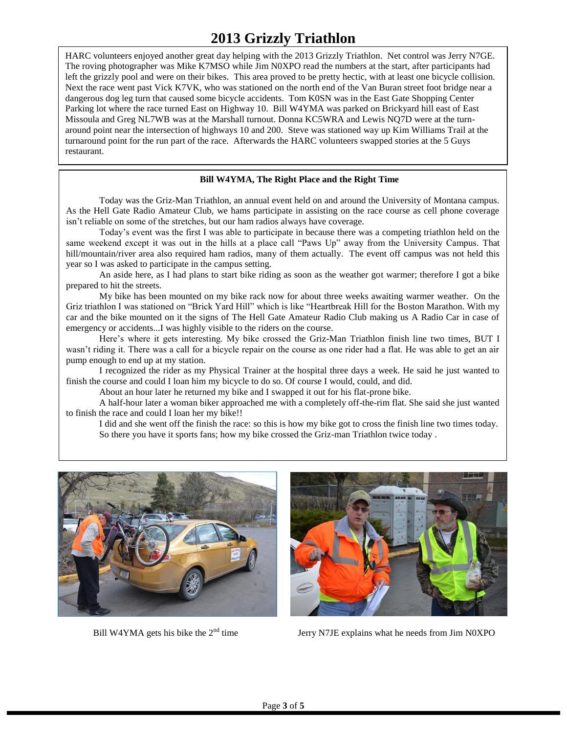# **2013 Grizzly Triathlon**

HARC volunteers enjoyed another great day helping with the 2013 Grizzly Triathlon. Net control was Jerry N7GE. The roving photographer was Mike K7MSO while Jim N0XPO read the numbers at the start, after participants had left the grizzly pool and were on their bikes. This area proved to be pretty hectic, with at least one bicycle collision. Next the race went past Vick K7VK, who was stationed on the north end of the Van Buran street foot bridge near a dangerous dog leg turn that caused some bicycle accidents. Tom K0SN was in the East Gate Shopping Center Parking lot where the race turned East on Highway 10. Bill W4YMA was parked on Brickyard hill east of East Missoula and Greg NL7WB was at the Marshall turnout. Donna KC5WRA and Lewis NQ7D were at the turnaround point near the intersection of highways 10 and 200. Steve was stationed way up Kim Williams Trail at the turnaround point for the run part of the race. Afterwards the HARC volunteers swapped stories at the 5 Guys restaurant.

#### **Bill W4YMA, The Right Place and the Right Time**

Today was the Griz-Man Triathlon, an annual event held on and around the University of Montana campus. As the Hell Gate Radio Amateur Club, we hams participate in assisting on the race course as cell phone coverage isn't reliable on some of the stretches, but our ham radios always have coverage.

Today's event was the first I was able to participate in because there was a competing triathlon held on the same weekend except it was out in the hills at a place call "Paws Up" away from the University Campus. That hill/mountain/river area also required ham radios, many of them actually. The event off campus was not held this year so I was asked to participate in the campus setting.

An aside here, as I had plans to start bike riding as soon as the weather got warmer; therefore I got a bike prepared to hit the streets.

My bike has been mounted on my bike rack now for about three weeks awaiting warmer weather. On the Griz triathlon I was stationed on "Brick Yard Hill" which is like "Heartbreak Hill for the Boston Marathon. With my car and the bike mounted on it the signs of The Hell Gate Amateur Radio Club making us A Radio Car in case of emergency or accidents...I was highly visible to the riders on the course.

Here's where it gets interesting. My bike crossed the Griz-Man Triathlon finish line two times, BUT I wasn't riding it. There was a call for a bicycle repair on the course as one rider had a flat. He was able to get an air pump enough to end up at my station.

I recognized the rider as my Physical Trainer at the hospital three days a week. He said he just wanted to finish the course and could I loan him my bicycle to do so. Of course I would, could, and did.

About an hour later he returned my bike and I swapped it out for his flat-prone bike.

A half-hour later a woman biker approached me with a completely off-the-rim flat. She said she just wanted to finish the race and could I loan her my bike!!

I did and she went off the finish the race: so this is how my bike got to cross the finish line two times today. So there you have it sports fans; how my bike crossed the Griz-man Triathlon twice today .





Bill W4YMA gets his bike the  $2<sup>nd</sup>$  time Jerry N7JE explains what he needs from Jim N0XPO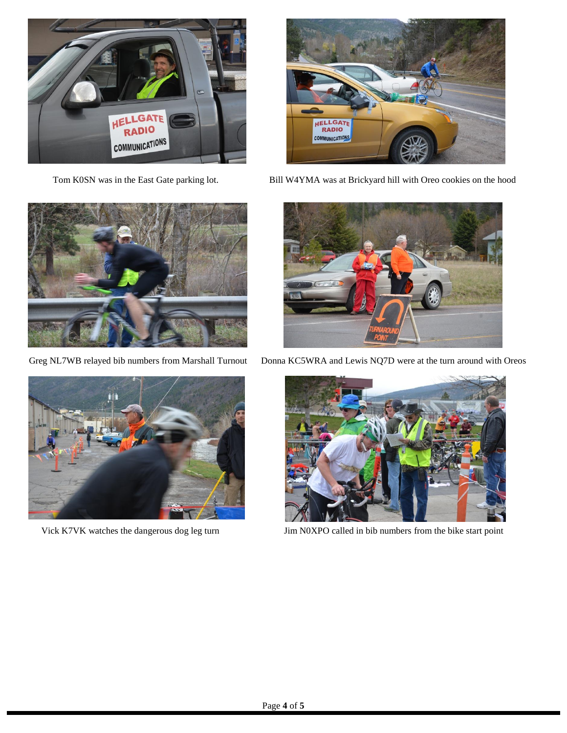



Tom K0SN was in the East Gate parking lot. Bill W4YMA was at Brickyard hill with Oreo cookies on the hood







Greg NL7WB relayed bib numbers from Marshall Turnout Donna KC5WRA and Lewis NQ7D were at the turn around with Oreos



Vick K7VK watches the dangerous dog leg turn Jim N0XPO called in bib numbers from the bike start point